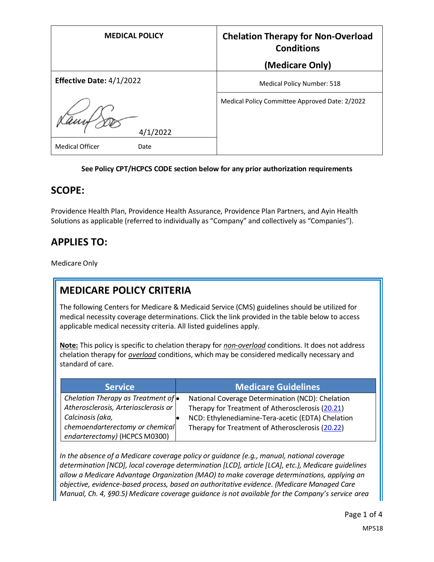| <b>MEDICAL POLICY</b>                      | <b>Chelation Therapy for Non-Overload</b><br><b>Conditions</b> |
|--------------------------------------------|----------------------------------------------------------------|
|                                            | (Medicare Only)                                                |
| Effective Date: 4/1/2022                   | Medical Policy Number: 518                                     |
| 4/1/2022<br><b>Medical Officer</b><br>Date | Medical Policy Committee Approved Date: 2/2022                 |

#### **See Policy CPT/HCPCS CODE section below for any prior authorization requirements**

### **SCOPE:**

Providence Health Plan, Providence Health Assurance, Providence Plan Partners, and Ayin Health Solutions as applicable (referred to individually as "Company" and collectively as "Companies").

# **APPLIES TO:**

Medicare Only

## **MEDICARE POLICY CRITERIA**

The following Centers for Medicare & Medicaid Service (CMS) guidelines should be utilized for medical necessity coverage determinations. Click the link provided in the table below to access applicable medical necessity criteria. All listed guidelines apply.

**Note:** This policy is specific to chelation therapy for *non-overload* conditions. It does not address chelation therapy for *overload* conditions, which may be considered medically necessary and standard of care.

| <b>Service</b>                       | <b>Medicare Guidelines</b>                        |
|--------------------------------------|---------------------------------------------------|
| Chelation Therapy as Treatment of •  | National Coverage Determination (NCD): Chelation  |
| Atherosclerosis, Arteriosclerosis or | Therapy for Treatment of Atherosclerosis (20.21)  |
| Calcinosis (aka,                     | NCD: Ethylenediamine-Tera-acetic (EDTA) Chelation |
| chemoendarterectomy or chemical      | Therapy for Treatment of Atherosclerosis (20.22)  |
| endarterectomy) (HCPCS M0300)        |                                                   |

*In the absence of a Medicare coverage policy or guidance (e.g., manual, national coverage determination [NCD], local coverage determination [LCD], article [LCA], etc.), Medicare guidelines allow a Medicare Advantage Organization (MAO) to make coverage determinations, applying an objective, evidence-based process, based on authoritative evidence. (Medicare Managed Care Manual, Ch. 4, §90.5) Medicare coverage guidance is not available for the Company's service area*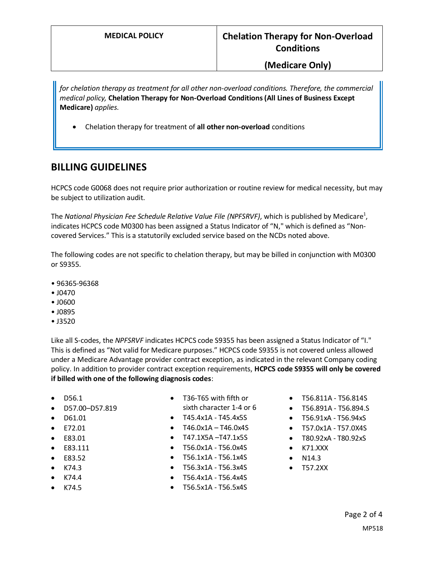#### **(Medicare Only)**

*for chelation therapy as treatment for all other non-overload conditions. Therefore, the commercial medical policy,* **Chelation Therapy for Non-Overload Conditions (All Lines of Business Except Medicare)** *applies.*

• Chelation therapy for treatment of **all other non-overload** conditions

### **BILLING GUIDELINES**

HCPCS code G0068 does not require prior authorization or routine review for medical necessity, but may be subject to utilization audit.

The *National Physician Fee Schedule Relative Value File (NPFSRVF),* which is published by Medicare<sup>1</sup>, indicates HCPCS code M0300 has been assigned a Status Indicator of "N," which is defined as "Noncovered Services." This is a statutorily excluded service based on the NCDs noted above.

The following codes are not specific to chelation therapy, but may be billed in conjunction with M0300 or S9355.

- 96365-96368
- J0470
- J0600
- J0895
- J3520

Like all S-codes, the *NPFSRVF* indicates HCPCS code S9355 has been assigned a Status Indicator of "I." This is defined as "Not valid for Medicare purposes." HCPCS code S9355 is not covered unless allowed under a Medicare Advantage provider contract exception, as indicated in the relevant Company coding policy. In addition to provider contract exception requirements, **HCPCS code S9355 will only be covered if billed with one of the following diagnosis codes**:

- D56.1
- D57.00–D57.819
- D61.01
- E72.01
- E83.01
- E83.111
- E83.52
- K74.3
- K74.4
- K74.5
- T36-T65 with fifth or sixth character 1-4 or 6
- T45.4x1A T45.4x5S
- $\bullet$  T46.0x1A T46.0x4S
- T47.1X5A –T47.1x5S
- T56.0x1A T56.0x4S
- T56.1x1A T56.1x4S
- T56.3x1A T56.3x4S
- T56.4x1A T56.4x4S
- T56.5x1A T56.5x4S
- T56.811A T56.814S
- T56.891A T56.894.S
- T56.91xA T56.94xS
- T57.0x1A T57.0X4S
- T80.92xA T80.92xS
- K71.XXX
- N14.3
- T57.2XX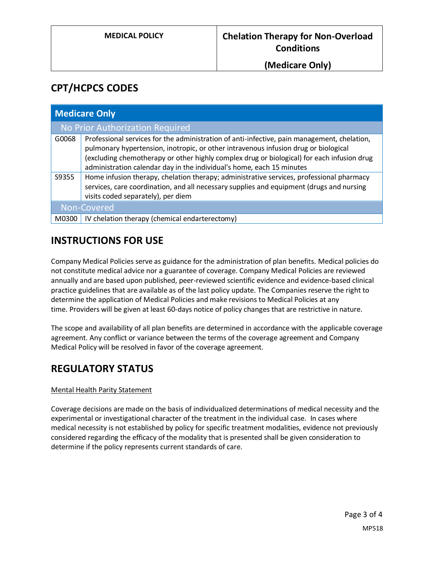**(Medicare Only)**

## **CPT/HCPCS CODES**

| <b>Medicare Only</b> |                                                                                                                                                                                                                                                                                                                                                           |
|----------------------|-----------------------------------------------------------------------------------------------------------------------------------------------------------------------------------------------------------------------------------------------------------------------------------------------------------------------------------------------------------|
|                      | No Prior Authorization Required                                                                                                                                                                                                                                                                                                                           |
| G0068                | Professional services for the administration of anti-infective, pain management, chelation,<br>pulmonary hypertension, inotropic, or other intravenous infusion drug or biological<br>(excluding chemotherapy or other highly complex drug or biological) for each infusion drug<br>administration calendar day in the individual's home, each 15 minutes |
| S9355                | Home infusion therapy, chelation therapy; administrative services, professional pharmacy<br>services, care coordination, and all necessary supplies and equipment (drugs and nursing<br>visits coded separately), per diem                                                                                                                                |
|                      | Non-Covered                                                                                                                                                                                                                                                                                                                                               |
| M0300                | IV chelation therapy (chemical endarterectomy)                                                                                                                                                                                                                                                                                                            |

## **INSTRUCTIONS FOR USE**

Company Medical Policies serve as guidance for the administration of plan benefits. Medical policies do not constitute medical advice nor a guarantee of coverage. Company Medical Policies are reviewed annually and are based upon published, peer-reviewed scientific evidence and evidence-based clinical practice guidelines that are available as of the last policy update. The Companies reserve the right to determine the application of Medical Policies and make revisions to Medical Policies at any time. Providers will be given at least 60-days notice of policy changes that are restrictive in nature.

The scope and availability of all plan benefits are determined in accordance with the applicable coverage agreement. Any conflict or variance between the terms of the coverage agreement and Company Medical Policy will be resolved in favor of the coverage agreement.

## **REGULATORY STATUS**

#### Mental Health Parity Statement

Coverage decisions are made on the basis of individualized determinations of medical necessity and the experimental or investigational character of the treatment in the individual case. In cases where medical necessity is not established by policy for specific treatment modalities, evidence not previously considered regarding the efficacy of the modality that is presented shall be given consideration to determine if the policy represents current standards of care.